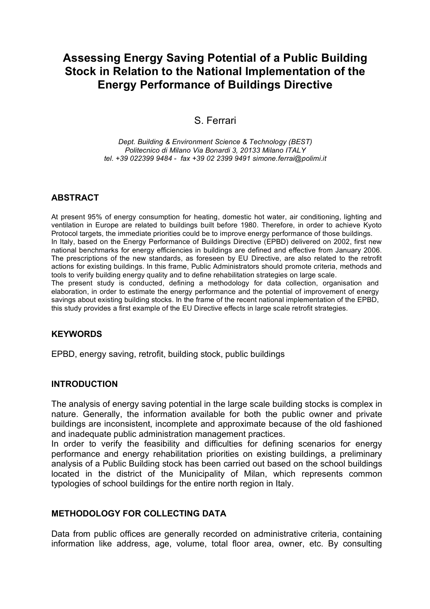# **Assessing Energy Saving Potential of a Public Building Stock in Relation to the National Implementation of the Energy Performance of Buildings Directive**

# S. Ferrari

*Dept. Building & Environment Science & Technology (BEST) Politecnico di Milano Via Bonardi 3, 20133 Milano ITALY tel. +39 022399 9484 - fax +39 02 2399 9491 simone.ferrai@polimi.it*

#### **ABSTRACT**

At present 95% of energy consumption for heating, domestic hot water, air conditioning, lighting and ventilation in Europe are related to buildings built before 1980. Therefore, in order to achieve Kyoto Protocol targets, the immediate priorities could be to improve energy performance of those buildings. In Italy, based on the Energy Performance of Buildings Directive (EPBD) delivered on 2002, first new national benchmarks for energy efficiencies in buildings are defined and effective from January 2006. The prescriptions of the new standards, as foreseen by EU Directive, are also related to the retrofit actions for existing buildings. In this frame, Public Administrators should promote criteria, methods and tools to verify building energy quality and to define rehabilitation strategies on large scale. The present study is conducted, defining a methodology for data collection, organisation and elaboration, in order to estimate the energy performance and the potential of improvement of energy savings about existing building stocks. In the frame of the recent national implementation of the EPBD, this study provides a first example of the EU Directive effects in large scale retrofit strategies.

#### **KEYWORDS**

EPBD, energy saving, retrofit, building stock, public buildings

#### **INTRODUCTION**

The analysis of energy saving potential in the large scale building stocks is complex in nature. Generally, the information available for both the public owner and private buildings are inconsistent, incomplete and approximate because of the old fashioned and inadequate public administration management practices.

In order to verify the feasibility and difficulties for defining scenarios for energy performance and energy rehabilitation priorities on existing buildings, a preliminary analysis of a Public Building stock has been carried out based on the school buildings located in the district of the Municipality of Milan, which represents common typologies of school buildings for the entire north region in Italy.

#### **METHODOLOGY FOR COLLECTING DATA**

Data from public offices are generally recorded on administrative criteria, containing information like address, age, volume, total floor area, owner, etc. By consulting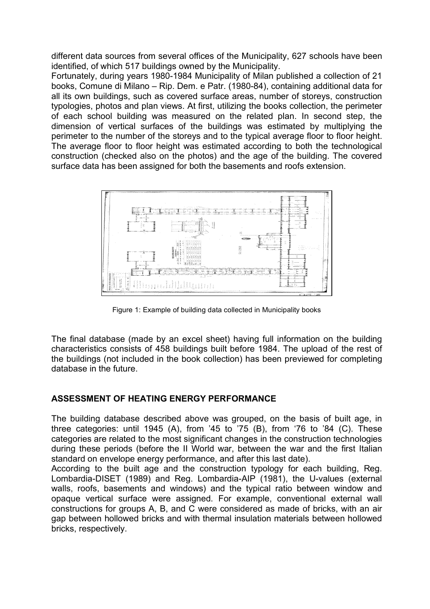different data sources from several offices of the Municipality, 627 schools have been identified, of which 517 buildings owned by the Municipality.

Fortunately, during years 1980-1984 Municipality of Milan published a collection of 21 books, Comune di Milano – Rip. Dem. e Patr. (1980-84), containing additional data for all its own buildings, such as covered surface areas, number of storeys, construction typologies, photos and plan views. At first, utilizing the books collection, the perimeter of each school building was measured on the related plan. In second step, the dimension of vertical surfaces of the buildings was estimated by multiplying the perimeter to the number of the storeys and to the typical average floor to floor height. The average floor to floor height was estimated according to both the technological construction (checked also on the photos) and the age of the building. The covered surface data has been assigned for both the basements and roofs extension.



Figure 1: Example of building data collected in Municipality books

The final database (made by an excel sheet) having full information on the building characteristics consists of 458 buildings built before 1984. The upload of the rest of the buildings (not included in the book collection) has been previewed for completing database in the future.

# **ASSESSMENT OF HEATING ENERGY PERFORMANCE**

The building database described above was grouped, on the basis of built age, in three categories: until 1945 (A), from '45 to '75 (B), from '76 to '84 (C). These categories are related to the most significant changes in the construction technologies during these periods (before the II World war, between the war and the first Italian standard on envelope energy performance, and after this last date).

According to the built age and the construction typology for each building, Reg. Lombardia-DISET (1989) and Reg. Lombardia-AIP (1981), the U-values (external walls, roofs, basements and windows) and the typical ratio between window and opaque vertical surface were assigned. For example, conventional external wall constructions for groups A, B, and C were considered as made of bricks, with an air gap between hollowed bricks and with thermal insulation materials between hollowed bricks, respectively.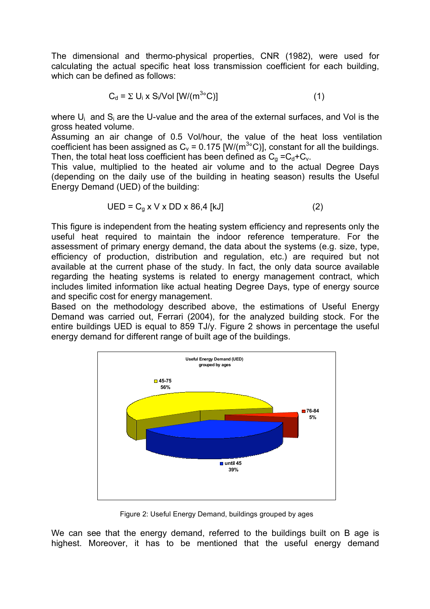The dimensional and thermo-physical properties, CNR (1982), were used for calculating the actual specific heat loss transmission coefficient for each building, which can be defined as follows:

$$
C_d = \Sigma U_i \times S_i / Vol [W/(m^{3\circ}C)] \tag{1}
$$

where  $U_i$  and  $S_i$  are the U-value and the area of the external surfaces, and Vol is the gross heated volume.

Assuming an air change of 0.5 Vol/hour, the value of the heat loss ventilation coefficient has been assigned as  $C_v$  = 0.175 [W/(m<sup>3</sup>°C)], constant for all the buildings. Then, the total heat loss coefficient has been defined as  $C<sub>q</sub> = C<sub>dt</sub> + C<sub>v</sub>$ .

This value, multiplied to the heated air volume and to the actual Degree Days (depending on the daily use of the building in heating season) results the Useful Energy Demand (UED) of the building:

$$
UED = Cg x V x DD x 86,4 [kJ]
$$
 (2)

This figure is independent from the heating system efficiency and represents only the useful heat required to maintain the indoor reference temperature. For the assessment of primary energy demand, the data about the systems (e.g. size, type, efficiency of production, distribution and regulation, etc.) are required but not available at the current phase of the study. In fact, the only data source available regarding the heating systems is related to energy management contract, which includes limited information like actual heating Degree Days, type of energy source and specific cost for energy management.

Based on the methodology described above, the estimations of Useful Energy Demand was carried out, Ferrari (2004), for the analyzed building stock. For the entire buildings UED is equal to 859 TJ/y. Figure 2 shows in percentage the useful energy demand for different range of built age of the buildings.



Figure 2: Useful Energy Demand, buildings grouped by ages

We can see that the energy demand, referred to the buildings built on B age is highest. Moreover, it has to be mentioned that the useful energy demand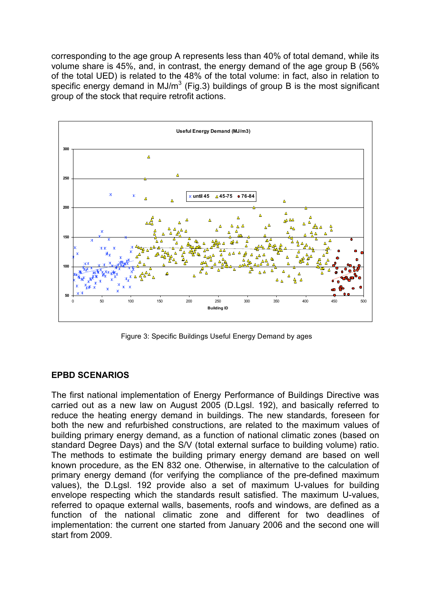corresponding to the age group A represents less than 40% of total demand, while its volume share is 45%, and, in contrast, the energy demand of the age group B (56% of the total UED) is related to the 48% of the total volume: in fact, also in relation to specific energy demand in MJ/m<sup>3</sup> (Fig.3) buildings of group B is the most significant group of the stock that require retrofit actions.



Figure 3: Specific Buildings Useful Energy Demand by ages

# **EPBD SCENARIOS**

The first national implementation of Energy Performance of Buildings Directive was carried out as a new law on August 2005 (D.Lgsl. 192), and basically referred to reduce the heating energy demand in buildings. The new standards, foreseen for both the new and refurbished constructions, are related to the maximum values of building primary energy demand, as a function of national climatic zones (based on standard Degree Days) and the S/V (total external surface to building volume) ratio. The methods to estimate the building primary energy demand are based on well known procedure, as the EN 832 one. Otherwise, in alternative to the calculation of primary energy demand (for verifying the compliance of the pre-defined maximum values), the D.Lgsl. 192 provide also a set of maximum U-values for building envelope respecting which the standards result satisfied. The maximum U-values, referred to opaque external walls, basements, roofs and windows, are defined as a function of the national climatic zone and different for two deadlines of implementation: the current one started from January 2006 and the second one will start from 2009.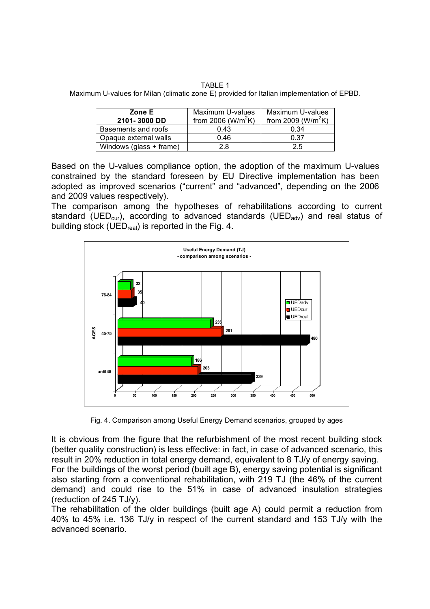TABLE 1 Maximum U-values for Milan (climatic zone E) provided for Italian implementation of EPBD.

| Zone E<br>2101-3000 DD  | Maximum U-values<br>from 2006 ( $W/m^2K$ ) | Maximum U-values<br>from 2009 ( $W/m^2K$ ) |
|-------------------------|--------------------------------------------|--------------------------------------------|
| Basements and roofs     | 0.43                                       | 0.34                                       |
| Opaque external walls   | 0.46                                       | 0.37                                       |
| Windows (glass + frame) | 2.8                                        | 2.5                                        |

Based on the U-values compliance option, the adoption of the maximum U-values constrained by the standard foreseen by EU Directive implementation has been adopted as improved scenarios ("current" and "advanced", depending on the 2006 and 2009 values respectively).

The comparison among the hypotheses of rehabilitations according to current standard (UED<sub>cur</sub>), according to advanced standards (UED<sub>adv</sub>) and real status of building stock (UED<sub>real</sub>) is reported in the Fig. 4.



Fig. 4. Comparison among Useful Energy Demand scenarios, grouped by ages

It is obvious from the figure that the refurbishment of the most recent building stock (better quality construction) is less effective: in fact, in case of advanced scenario, this result in 20% reduction in total energy demand, equivalent to 8 TJ/y of energy saving. For the buildings of the worst period (built age B), energy saving potential is significant also starting from a conventional rehabilitation, with 219 TJ (the 46% of the current demand) and could rise to the 51% in case of advanced insulation strategies (reduction of 245 TJ/y).

The rehabilitation of the older buildings (built age A) could permit a reduction from 40% to 45% i.e. 136 TJ/y in respect of the current standard and 153 TJ/y with the advanced scenario.